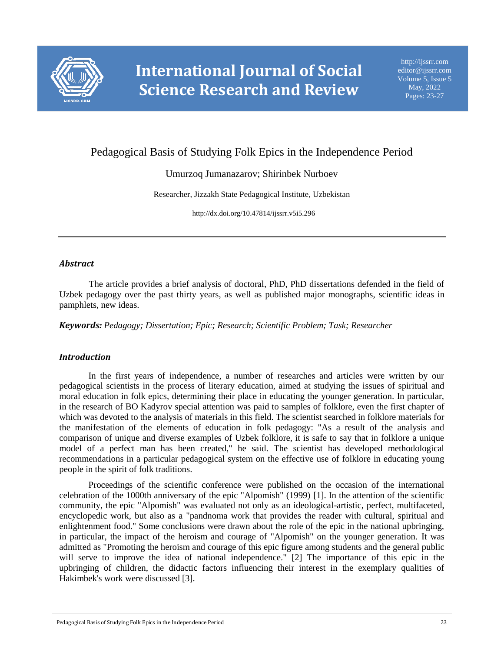

# Pedagogical Basis of Studying Folk Epics in the Independence Period

# Umurzoq Jumanazarov; Shirinbek Nurboev

Researcher, Jizzakh State Pedagogical Institute, Uzbekistan

http://dx.doi.org/10.47814/ijssrr.v5i5.296

#### *Abstract*

The article provides a brief analysis of doctoral, PhD, PhD dissertations defended in the field of Uzbek pedagogy over the past thirty years, as well as published major monographs, scientific ideas in pamphlets, new ideas.

*Keywords: Pedagogy; Dissertation; Epic; Research; Scientific Problem; Task; Researcher*

## *Introduction*

In the first years of independence, a number of researches and articles were written by our pedagogical scientists in the process of literary education, aimed at studying the issues of spiritual and moral education in folk epics, determining their place in educating the younger generation. In particular, in the research of BO Kadyrov special attention was paid to samples of folklore, even the first chapter of which was devoted to the analysis of materials in this field. The scientist searched in folklore materials for the manifestation of the elements of education in folk pedagogy: "As a result of the analysis and comparison of unique and diverse examples of Uzbek folklore, it is safe to say that in folklore a unique model of a perfect man has been created," he said. The scientist has developed methodological recommendations in a particular pedagogical system on the effective use of folklore in educating young people in the spirit of folk traditions.

Proceedings of the scientific conference were published on the occasion of the international celebration of the 1000th anniversary of the epic "Alpomish" (1999) [1]. In the attention of the scientific community, the epic "Alpomish" was evaluated not only as an ideological-artistic, perfect, multifaceted, encyclopedic work, but also as a "pandnoma work that provides the reader with cultural, spiritual and enlightenment food." Some conclusions were drawn about the role of the epic in the national upbringing, in particular, the impact of the heroism and courage of "Alpomish" on the younger generation. It was admitted as "Promoting the heroism and courage of this epic figure among students and the general public will serve to improve the idea of national independence." [2] The importance of this epic in the upbringing of children, the didactic factors influencing their interest in the exemplary qualities of Hakimbek's work were discussed [3].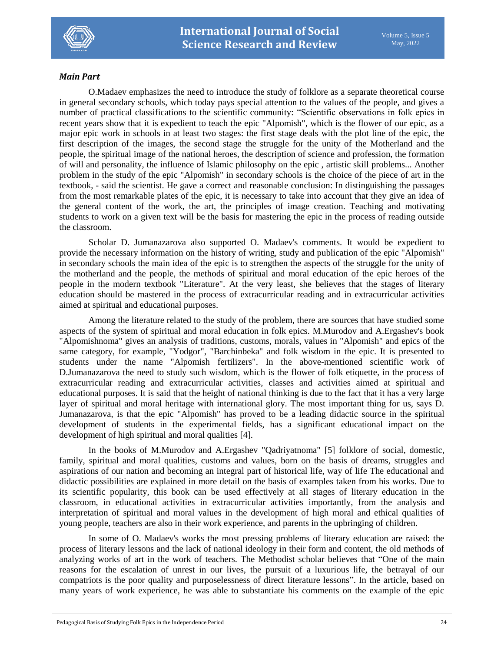

#### *Main Part*

O.Madaev emphasizes the need to introduce the study of folklore as a separate theoretical course in general secondary schools, which today pays special attention to the values of the people, and gives a number of practical classifications to the scientific community: "Scientific observations in folk epics in recent years show that it is expedient to teach the epic "Alpomish", which is the flower of our epic, as a major epic work in schools in at least two stages: the first stage deals with the plot line of the epic, the first description of the images, the second stage the struggle for the unity of the Motherland and the people, the spiritual image of the national heroes, the description of science and profession, the formation of will and personality, the influence of Islamic philosophy on the epic , artistic skill problems... Another problem in the study of the epic "Alpomish" in secondary schools is the choice of the piece of art in the textbook, - said the scientist. He gave a correct and reasonable conclusion: In distinguishing the passages from the most remarkable plates of the epic, it is necessary to take into account that they give an idea of the general content of the work, the art, the principles of image creation. Teaching and motivating students to work on a given text will be the basis for mastering the epic in the process of reading outside the classroom.

Scholar D. Jumanazarova also supported O. Madaev's comments. It would be expedient to provide the necessary information on the history of writing, study and publication of the epic "Alpomish" in secondary schools the main idea of the epic is to strengthen the aspects of the struggle for the unity of the motherland and the people, the methods of spiritual and moral education of the epic heroes of the people in the modern textbook "Literature". At the very least, she believes that the stages of literary education should be mastered in the process of extracurricular reading and in extracurricular activities aimed at spiritual and educational purposes.

Among the literature related to the study of the problem, there are sources that have studied some aspects of the system of spiritual and moral education in folk epics. M.Murodov and A.Ergashev's book "Alpomishnoma" gives an analysis of traditions, customs, morals, values in "Alpomish" and epics of the same category, for example, "Yodgor", "Barchinbeka" and folk wisdom in the epic. It is presented to students under the name "Alpomish fertilizers". In the above-mentioned scientific work of D.Jumanazarova the need to study such wisdom, which is the flower of folk etiquette, in the process of extracurricular reading and extracurricular activities, classes and activities aimed at spiritual and educational purposes. It is said that the height of national thinking is due to the fact that it has a very large layer of spiritual and moral heritage with international glory. The most important thing for us, says D. Jumanazarova, is that the epic "Alpomish" has proved to be a leading didactic source in the spiritual development of students in the experimental fields, has a significant educational impact on the development of high spiritual and moral qualities [4].

In the books of M.Murodov and A.Ergashev "Qadriyatnoma" [5] folklore of social, domestic, family, spiritual and moral qualities, customs and values, born on the basis of dreams, struggles and aspirations of our nation and becoming an integral part of historical life, way of life The educational and didactic possibilities are explained in more detail on the basis of examples taken from his works. Due to its scientific popularity, this book can be used effectively at all stages of literary education in the classroom, in educational activities in extracurricular activities importantly, from the analysis and interpretation of spiritual and moral values in the development of high moral and ethical qualities of young people, teachers are also in their work experience, and parents in the upbringing of children.

In some of O. Madaev's works the most pressing problems of literary education are raised: the process of literary lessons and the lack of national ideology in their form and content, the old methods of analyzing works of art in the work of teachers. The Methodist scholar believes that "One of the main reasons for the escalation of unrest in our lives, the pursuit of a luxurious life, the betrayal of our compatriots is the poor quality and purposelessness of direct literature lessons". In the article, based on many years of work experience, he was able to substantiate his comments on the example of the epic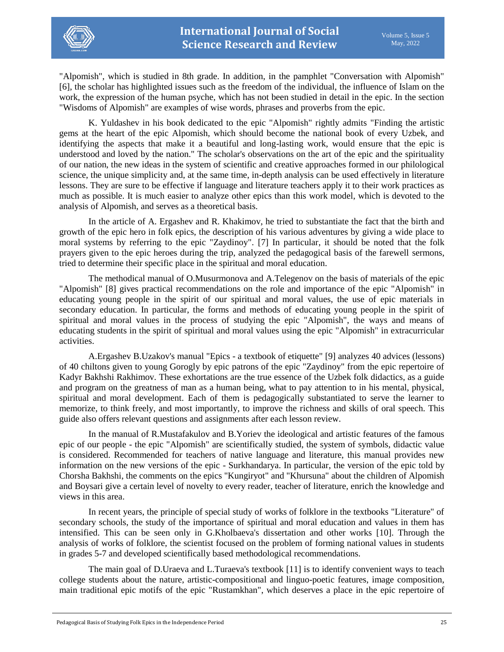

"Alpomish", which is studied in 8th grade. In addition, in the pamphlet "Conversation with Alpomish" [6], the scholar has highlighted issues such as the freedom of the individual, the influence of Islam on the work, the expression of the human psyche, which has not been studied in detail in the epic. In the section "Wisdoms of Alpomish" are examples of wise words, phrases and proverbs from the epic.

K. Yuldashev in his book dedicated to the epic "Alpomish" rightly admits "Finding the artistic gems at the heart of the epic Alpomish, which should become the national book of every Uzbek, and identifying the aspects that make it a beautiful and long-lasting work, would ensure that the epic is understood and loved by the nation." The scholar's observations on the art of the epic and the spirituality of our nation, the new ideas in the system of scientific and creative approaches formed in our philological science, the unique simplicity and, at the same time, in-depth analysis can be used effectively in literature lessons. They are sure to be effective if language and literature teachers apply it to their work practices as much as possible. It is much easier to analyze other epics than this work model, which is devoted to the analysis of Alpomish, and serves as a theoretical basis.

In the article of A. Ergashev and R. Khakimov, he tried to substantiate the fact that the birth and growth of the epic hero in folk epics, the description of his various adventures by giving a wide place to moral systems by referring to the epic "Zaydinoy". [7] In particular, it should be noted that the folk prayers given to the epic heroes during the trip, analyzed the pedagogical basis of the farewell sermons, tried to determine their specific place in the spiritual and moral education.

The methodical manual of O.Musurmonova and A.Telegenov on the basis of materials of the epic "Alpomish" [8] gives practical recommendations on the role and importance of the epic "Alpomish" in educating young people in the spirit of our spiritual and moral values, the use of epic materials in secondary education. In particular, the forms and methods of educating young people in the spirit of spiritual and moral values in the process of studying the epic "Alpomish", the ways and means of educating students in the spirit of spiritual and moral values using the epic "Alpomish" in extracurricular activities.

A.Ergashev B.Uzakov's manual "Epics - a textbook of etiquette" [9] analyzes 40 advices (lessons) of 40 chiltons given to young Gorogly by epic patrons of the epic "Zaydinoy" from the epic repertoire of Kadyr Bakhshi Rakhimov. These exhortations are the true essence of the Uzbek folk didactics, as a guide and program on the greatness of man as a human being, what to pay attention to in his mental, physical, spiritual and moral development. Each of them is pedagogically substantiated to serve the learner to memorize, to think freely, and most importantly, to improve the richness and skills of oral speech. This guide also offers relevant questions and assignments after each lesson review.

In the manual of R.Mustafakulov and B.Yoriev the ideological and artistic features of the famous epic of our people - the epic "Alpomish" are scientifically studied, the system of symbols, didactic value is considered. Recommended for teachers of native language and literature, this manual provides new information on the new versions of the epic - Surkhandarya. In particular, the version of the epic told by Chorsha Bakhshi, the comments on the epics "Kungiryot" and "Khursuna" about the children of Alpomish and Boysari give a certain level of novelty to every reader, teacher of literature, enrich the knowledge and views in this area.

In recent years, the principle of special study of works of folklore in the textbooks "Literature" of secondary schools, the study of the importance of spiritual and moral education and values in them has intensified. This can be seen only in G.Kholbaeva's dissertation and other works [10]. Through the analysis of works of folklore, the scientist focused on the problem of forming national values in students in grades 5-7 and developed scientifically based methodological recommendations.

The main goal of D.Uraeva and L.Turaeva's textbook [11] is to identify convenient ways to teach college students about the nature, artistic-compositional and linguo-poetic features, image composition, main traditional epic motifs of the epic "Rustamkhan", which deserves a place in the epic repertoire of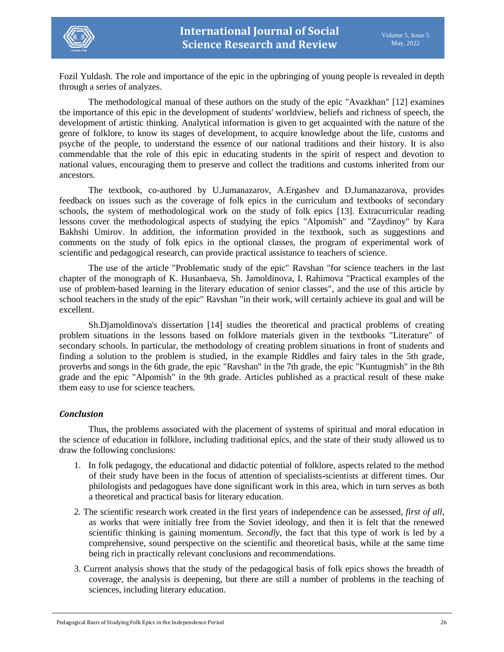

Fozil Yuldash. The role and importance of the epic in the upbringing of young people is revealed in depth through a series of analyzes.

The methodological manual of these authors on the study of the epic "Avazkhan" [12] examines the importance of this epic in the development of students' worldview, beliefs and richness of speech, the development of artistic thinking. Analytical information is given to get acquainted with the nature of the genre of folklore, to know its stages of development, to acquire knowledge about the life, customs and psyche of the people, to understand the essence of our national traditions and their history. It is also commendable that the role of this epic in educating students in the spirit of respect and devotion to national values, encouraging them to preserve and collect the traditions and customs inherited from our ancestors.

The textbook, co-authored by U.Jumanazarov, A.Ergashev and D.Jumanazarova, provides feedback on issues such as the coverage of folk epics in the curriculum and textbooks of secondary schools, the system of methodological work on the study of folk epics [13]. Extracurricular reading lessons cover the methodological aspects of studying the epics "Alpomish" and "Zaydinoy" by Kara Bakhshi Umirov. In addition, the information provided in the textbook, such as suggestions and comments on the study of folk epics in the optional classes, the program of experimental work of scientific and pedagogical research, can provide practical assistance to teachers of science.

The use of the article "Problematic study of the epic" Ravshan "for science teachers in the last chapter of the monograph of K. Husanbaeva, Sh. Jamoldinova, I. Rahimova "Practical examples of the use of problem-based learning in the literary education of senior classes", and the use of this article by school teachers in the study of the epic" Ravshan "in their work, will certainly achieve its goal and will be excellent.

Sh.Djamoldinova's dissertation [14] studies the theoretical and practical problems of creating problem situations in the lessons based on folklore materials given in the textbooks "Literature" of secondary schools. In particular, the methodology of creating problem situations in front of students and finding a solution to the problem is studied, in the example Riddles and fairy tales in the 5th grade, proverbs and songs in the 6th grade, the epic "Ravshan" in the 7th grade, the epic "Kuntugmish" in the 8th grade and the epic "Alpomish" in the 9th grade. Articles published as a practical result of these make them easy to use for science teachers.

#### *Conclusion*

Thus, the problems associated with the placement of systems of spiritual and moral education in the science of education in folklore, including traditional epics, and the state of their study allowed us to draw the following conclusions:

- 1. In folk pedagogy, the educational and didactic potential of folklore, aspects related to the method of their study have been in the focus of attention of specialists-scientists at different times. Our philologists and pedagogues have done significant work in this area, which in turn serves as both a theoretical and practical basis for literary education.
- 2. The scientific research work created in the first years of independence can be assessed, *first of all*, as works that were initially free from the Soviet ideology, and then it is felt that the renewed scientific thinking is gaining momentum. *Secondly*, the fact that this type of work is led by a comprehensive, sound perspective on the scientific and theoretical basis, while at the same time being rich in practically relevant conclusions and recommendations.
- 3. Current analysis shows that the study of the pedagogical basis of folk epics shows the breadth of coverage, the analysis is deepening, but there are still a number of problems in the teaching of sciences, including literary education.